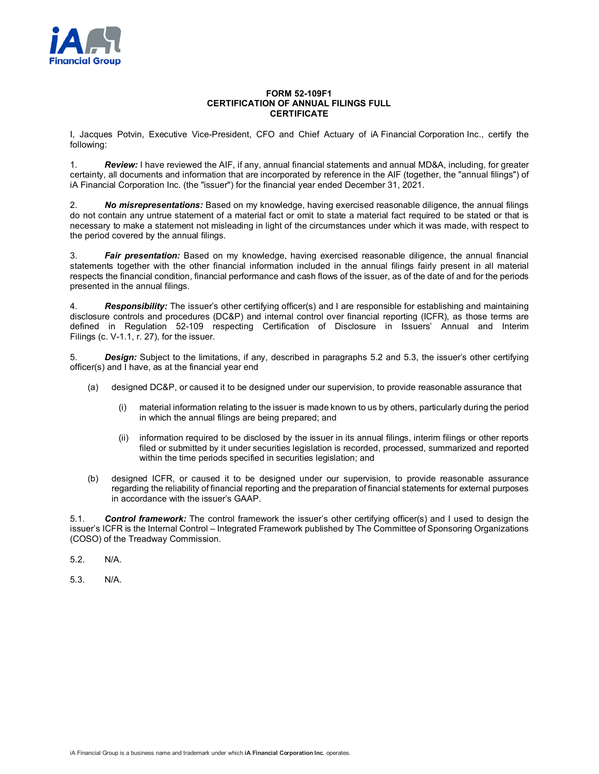

## **FORM 52-109F1 CERTIFICATION OF ANNUAL FILINGS FULL CERTIFICATE**

I, Jacques Potvin, Executive Vice-President, CFO and Chief Actuary of iA Financial Corporation Inc., certify the following:

Review: I have reviewed the AIF, if any, annual financial statements and annual MD&A, including, for greater certainty, all documents and information that are incorporated by reference in the AIF (together, the "annual filings") of iA Financial Corporation Inc. (the "issuer") for the financial year ended December 31, 2021.

2. *No misrepresentations:* Based on my knowledge, having exercised reasonable diligence, the annual filings do not contain any untrue statement of a material fact or omit to state a material fact required to be stated or that is necessary to make a statement not misleading in light of the circumstances under which it was made, with respect to the period covered by the annual filings.

3. *Fair presentation:* Based on my knowledge, having exercised reasonable diligence, the annual financial statements together with the other financial information included in the annual filings fairly present in all material respects the financial condition, financial performance and cash flows of the issuer, as of the date of and for the periods presented in the annual filings.

4. *Responsibility:* The issuer's other certifying officer(s) and I are responsible for establishing and maintaining disclosure controls and procedures (DC&P) and internal control over financial reporting (ICFR), as those terms are defined in Regulation 52-109 respecting Certification of Disclosure in Issuers' Annual and Interim Filings (c. V-1.1, r. 27), for the issuer.

5. *Design:* Subject to the limitations, if any, described in paragraphs 5.2 and 5.3, the issuer's other certifying officer(s) and I have, as at the financial year end

- (a) designed DC&P, or caused it to be designed under our supervision, to provide reasonable assurance that
	- material information relating to the issuer is made known to us by others, particularly during the period in which the annual filings are being prepared; and
	- (ii) information required to be disclosed by the issuer in its annual filings, interim filings or other reports filed or submitted by it under securities legislation is recorded, processed, summarized and reported within the time periods specified in securities legislation; and
- (b) designed ICFR, or caused it to be designed under our supervision, to provide reasonable assurance regarding the reliability of financial reporting and the preparation of financial statements for external purposes in accordance with the issuer's GAAP.

5.1. *Control framework:* The control framework the issuer's other certifying officer(s) and I used to design the issuer's ICFR is the Internal Control – Integrated Framework published by The Committee of Sponsoring Organizations (COSO) of the Treadway Commission.

5.2. N/A.

5.3. N/A.